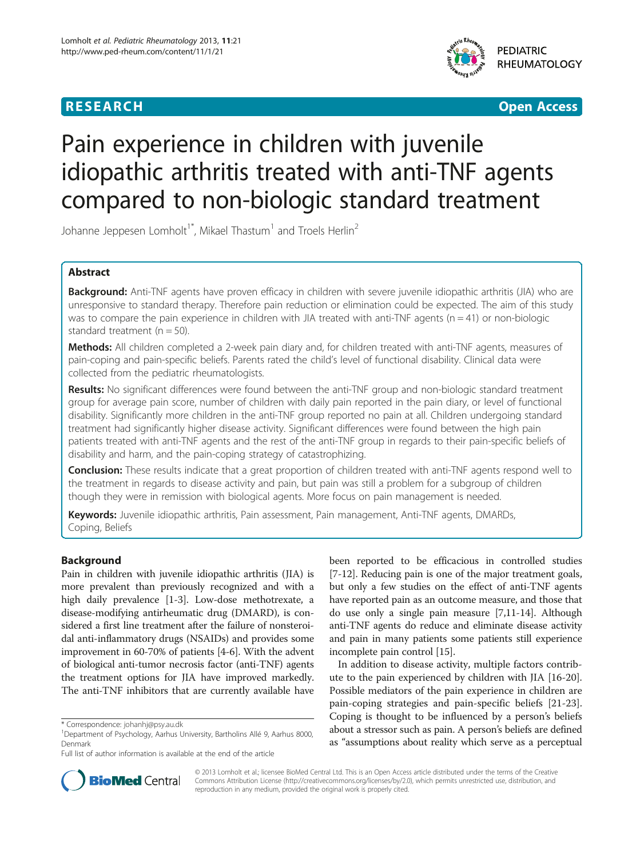# **RESEARCH CHEAR CHEAR CHEAR CHEAR CHEAR CHEAR CHEAR CHEAR CHEAR CHEAR CHEAR CHEAR CHEAR CHEAR CHEAR CHEAR CHEAR**



# Pain experience in children with juvenile idiopathic arthritis treated with anti-TNF agents compared to non-biologic standard treatment

Johanne Jeppesen Lomholt<sup>1\*</sup>, Mikael Thastum<sup>1</sup> and Troels Herlin<sup>2</sup>

# Abstract

Background: Anti-TNF agents have proven efficacy in children with severe juvenile idiopathic arthritis (JIA) who are unresponsive to standard therapy. Therefore pain reduction or elimination could be expected. The aim of this study was to compare the pain experience in children with JIA treated with anti-TNF agents ( $n = 41$ ) or non-biologic standard treatment ( $n = 50$ ).

Methods: All children completed a 2-week pain diary and, for children treated with anti-TNF agents, measures of pain-coping and pain-specific beliefs. Parents rated the child's level of functional disability. Clinical data were collected from the pediatric rheumatologists.

Results: No significant differences were found between the anti-TNF group and non-biologic standard treatment group for average pain score, number of children with daily pain reported in the pain diary, or level of functional disability. Significantly more children in the anti-TNF group reported no pain at all. Children undergoing standard treatment had significantly higher disease activity. Significant differences were found between the high pain patients treated with anti-TNF agents and the rest of the anti-TNF group in regards to their pain-specific beliefs of disability and harm, and the pain-coping strategy of catastrophizing.

Conclusion: These results indicate that a great proportion of children treated with anti-TNF agents respond well to the treatment in regards to disease activity and pain, but pain was still a problem for a subgroup of children though they were in remission with biological agents. More focus on pain management is needed.

Keywords: Juvenile idiopathic arthritis, Pain assessment, Pain management, Anti-TNF agents, DMARDs, Coping, Beliefs

# Background

Pain in children with juvenile idiopathic arthritis (JIA) is more prevalent than previously recognized and with a high daily prevalence [\[1](#page-6-0)-[3](#page-6-0)]. Low-dose methotrexate, a disease-modifying antirheumatic drug (DMARD), is considered a first line treatment after the failure of nonsteroidal anti-inflammatory drugs (NSAIDs) and provides some improvement in 60-70% of patients [\[4-6](#page-6-0)]. With the advent of biological anti-tumor necrosis factor (anti-TNF) agents the treatment options for JIA have improved markedly. The anti-TNF inhibitors that are currently available have

Full list of author information is available at the end of the article

been reported to be efficacious in controlled studies [[7-12\]](#page-6-0). Reducing pain is one of the major treatment goals, but only a few studies on the effect of anti-TNF agents have reported pain as an outcome measure, and those that do use only a single pain measure [\[7,11-14\]](#page-6-0). Although anti-TNF agents do reduce and eliminate disease activity and pain in many patients some patients still experience incomplete pain control [\[15\]](#page-6-0).

In addition to disease activity, multiple factors contribute to the pain experienced by children with JIA [\[16-20](#page-6-0)]. Possible mediators of the pain experience in children are pain-coping strategies and pain-specific beliefs [\[21](#page-6-0)[-23](#page-7-0)]. Coping is thought to be influenced by a person's beliefs about a stressor such as pain. A person's beliefs are defined as "assumptions about reality which serve as a perceptual



© 2013 Lomholt et al.; licensee BioMed Central Ltd. This is an Open Access article distributed under the terms of the Creative Commons Attribution License [\(http://creativecommons.org/licenses/by/2.0\)](http://creativecommons.org/licenses/by/2.0), which permits unrestricted use, distribution, and reproduction in any medium, provided the original work is properly cited.

<sup>\*</sup> Correspondence: [johanhj@psy.au.dk](mailto:johanhj@psy.au.dk) <sup>1</sup>

<sup>&</sup>lt;sup>1</sup>Department of Psychology, Aarhus University, Bartholins Allé 9, Aarhus 8000, Denmark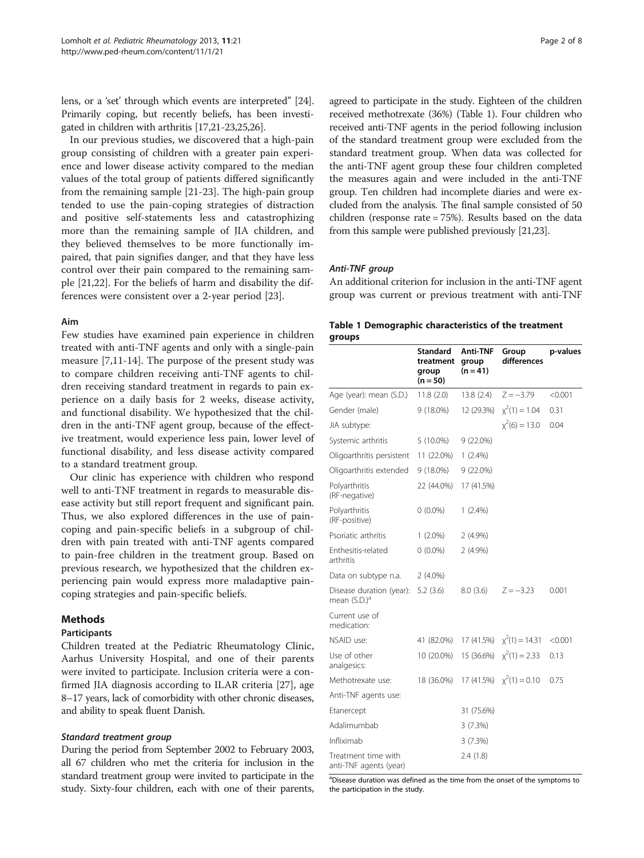<span id="page-1-0"></span>lens, or a 'set' through which events are interpreted" [[24](#page-7-0)]. Primarily coping, but recently beliefs, has been investigated in children with arthritis [\[17,21](#page-6-0)[-23,25,26\]](#page-7-0).

In our previous studies, we discovered that a high-pain group consisting of children with a greater pain experience and lower disease activity compared to the median values of the total group of patients differed significantly from the remaining sample [\[21](#page-6-0)[-23](#page-7-0)]. The high-pain group tended to use the pain-coping strategies of distraction and positive self-statements less and catastrophizing more than the remaining sample of JIA children, and they believed themselves to be more functionally impaired, that pain signifies danger, and that they have less control over their pain compared to the remaining sample [\[21,22\]](#page-6-0). For the beliefs of harm and disability the differences were consistent over a 2-year period [\[23\]](#page-7-0).

#### Aim

Few studies have examined pain experience in children treated with anti-TNF agents and only with a single-pain measure [\[7,11-14](#page-6-0)]. The purpose of the present study was to compare children receiving anti-TNF agents to children receiving standard treatment in regards to pain experience on a daily basis for 2 weeks, disease activity, and functional disability. We hypothesized that the children in the anti-TNF agent group, because of the effective treatment, would experience less pain, lower level of functional disability, and less disease activity compared to a standard treatment group.

Our clinic has experience with children who respond well to anti-TNF treatment in regards to measurable disease activity but still report frequent and significant pain. Thus, we also explored differences in the use of paincoping and pain-specific beliefs in a subgroup of children with pain treated with anti-TNF agents compared to pain-free children in the treatment group. Based on previous research, we hypothesized that the children experiencing pain would express more maladaptive paincoping strategies and pain-specific beliefs.

#### Methods

#### Participants

Children treated at the Pediatric Rheumatology Clinic, Aarhus University Hospital, and one of their parents were invited to participate. Inclusion criteria were a confirmed JIA diagnosis according to ILAR criteria [[27\]](#page-7-0), age 8–17 years, lack of comorbidity with other chronic diseases, and ability to speak fluent Danish.

#### Standard treatment group

During the period from September 2002 to February 2003, all 67 children who met the criteria for inclusion in the standard treatment group were invited to participate in the study. Sixty-four children, each with one of their parents,

agreed to participate in the study. Eighteen of the children received methotrexate (36%) (Table 1). Four children who received anti-TNF agents in the period following inclusion of the standard treatment group were excluded from the standard treatment group. When data was collected for the anti-TNF agent group these four children completed the measures again and were included in the anti-TNF group. Ten children had incomplete diaries and were excluded from the analysis. The final sample consisted of 50 children (response rate = 75%). Results based on the data from this sample were published previously [\[21](#page-6-0)[,23\]](#page-7-0).

#### Anti-TNF group

An additional criterion for inclusion in the anti-TNF agent group was current or previous treatment with anti-TNF

#### Table 1 Demographic characteristics of the treatment groups

|                                                      | <b>Standard</b><br>treatment<br>group<br>$(n = 50)$ | Anti-TNF<br>group<br>$(n = 41)$ | Group<br>differences           | p-values |
|------------------------------------------------------|-----------------------------------------------------|---------------------------------|--------------------------------|----------|
| Age (year): mean (S.D.)                              | 11.8(2.0)                                           | 13.8(2.4)                       | $Z = -3.79$                    | < 0.001  |
| Gender (male)                                        | $9(18.0\%)$                                         | 12 (29.3%)                      | $x^2(1) = 1.04$                | 0.31     |
| JIA subtype:                                         |                                                     |                                 | $x^2(6) = 13.0$                | 0.04     |
| Systemic arthritis                                   | $5(10.0\%)$                                         | $9(22.0\%)$                     |                                |          |
| Oligoarthritis persistent                            | 11 (22.0%)                                          | $1(2.4\%)$                      |                                |          |
| Oligoarthritis extended                              | $9(18.0\%)$                                         | $9(22.0\%)$                     |                                |          |
| Polyarthritis<br>(RF-negative)                       | 22 (44.0%)                                          | 17 (41.5%)                      |                                |          |
| Polyarthritis<br>(RF-positive)                       | $0(0.0\%)$                                          | $1(2.4\%)$                      |                                |          |
| Psoriatic arthritis                                  | $1(2.0\%)$                                          | $2(4.9\%)$                      |                                |          |
| Enthesitis-related<br>arthritis                      | $0(0.0\%)$                                          | $2(4.9\%)$                      |                                |          |
| Data on subtype n.a.                                 | $2(4.0\%)$                                          |                                 |                                |          |
| Disease duration (year):<br>mean (S.D.) <sup>a</sup> | 5.2(3.6)                                            | 8.0(3.6)                        | $Z = -3.23$                    | 0.001    |
| Current use of<br>medication:                        |                                                     |                                 |                                |          |
| NSAID use:                                           | 41 (82.0%)                                          |                                 | 17 (41.5%) $\chi^2(1) = 14.31$ | < 0.001  |
| Use of other<br>analgesics:                          | 10 (20.0%)                                          |                                 | 15 (36.6%) $\chi^2(1) = 2.33$  | 0.13     |
| Methotrexate use:                                    | 18 (36.0%)                                          |                                 | 17 (41.5%) $\chi^2(1) = 0.10$  | 0.75     |
| Anti-TNF agents use:                                 |                                                     |                                 |                                |          |
| Etanercept                                           |                                                     | 31 (75.6%)                      |                                |          |
| Adalimumbab                                          |                                                     | 3(7.3%)                         |                                |          |
| Infliximab                                           |                                                     | 3(7.3%)                         |                                |          |
| Treatment time with<br>anti-TNF agents (year)        |                                                     | 2.4(1.8)                        |                                |          |

<sup>a</sup>Disease duration was defined as the time from the onset of the symptoms to the participation in the study.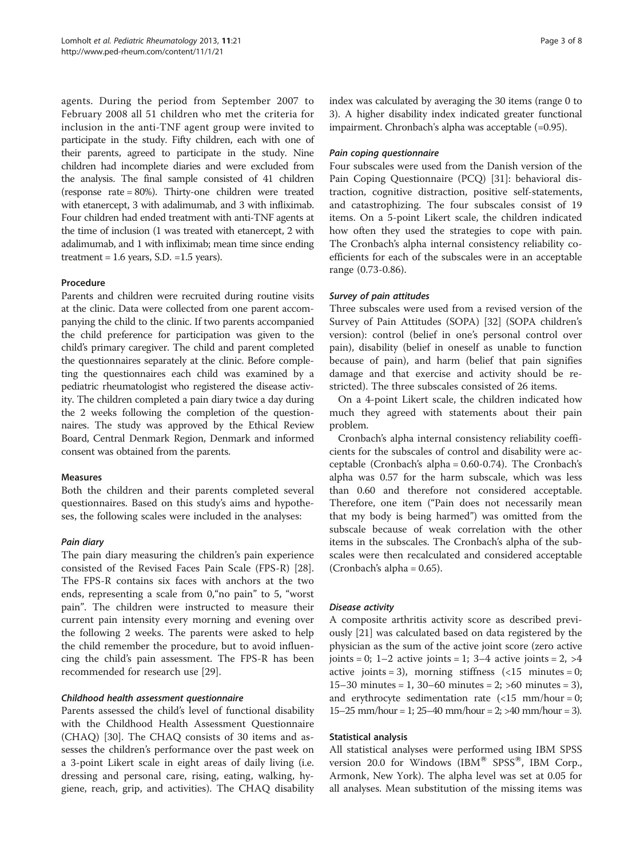agents. During the period from September 2007 to February 2008 all 51 children who met the criteria for inclusion in the anti-TNF agent group were invited to participate in the study. Fifty children, each with one of their parents, agreed to participate in the study. Nine children had incomplete diaries and were excluded from the analysis. The final sample consisted of 41 children (response rate = 80%). Thirty-one children were treated with etanercept, 3 with adalimumab, and 3 with infliximab. Four children had ended treatment with anti-TNF agents at the time of inclusion (1 was treated with etanercept, 2 with adalimumab, and 1 with infliximab; mean time since ending treatment =  $1.6$  years, S.D. =  $1.5$  years).

# Procedure

Parents and children were recruited during routine visits at the clinic. Data were collected from one parent accompanying the child to the clinic. If two parents accompanied the child preference for participation was given to the child's primary caregiver. The child and parent completed the questionnaires separately at the clinic. Before completing the questionnaires each child was examined by a pediatric rheumatologist who registered the disease activity. The children completed a pain diary twice a day during the 2 weeks following the completion of the questionnaires. The study was approved by the Ethical Review Board, Central Denmark Region, Denmark and informed consent was obtained from the parents.

#### Measures

Both the children and their parents completed several questionnaires. Based on this study's aims and hypotheses, the following scales were included in the analyses:

#### Pain diary

The pain diary measuring the children's pain experience consisted of the Revised Faces Pain Scale (FPS-R) [\[28](#page-7-0)]. The FPS-R contains six faces with anchors at the two ends, representing a scale from 0,"no pain" to 5, "worst pain". The children were instructed to measure their current pain intensity every morning and evening over the following 2 weeks. The parents were asked to help the child remember the procedure, but to avoid influencing the child's pain assessment. The FPS-R has been recommended for research use [[29](#page-7-0)].

# Childhood health assessment questionnaire

Parents assessed the child's level of functional disability with the Childhood Health Assessment Questionnaire (CHAQ) [\[30](#page-7-0)]. The CHAQ consists of 30 items and assesses the children's performance over the past week on a 3-point Likert scale in eight areas of daily living (i.e. dressing and personal care, rising, eating, walking, hygiene, reach, grip, and activities). The CHAQ disability index was calculated by averaging the 30 items (range 0 to 3). A higher disability index indicated greater functional impairment. Chronbach's alpha was acceptable (=0.95).

#### Pain coping questionnaire

Four subscales were used from the Danish version of the Pain Coping Questionnaire (PCQ) [\[31](#page-7-0)]: behavioral distraction, cognitive distraction, positive self-statements, and catastrophizing. The four subscales consist of 19 items. On a 5-point Likert scale, the children indicated how often they used the strategies to cope with pain. The Cronbach's alpha internal consistency reliability coefficients for each of the subscales were in an acceptable range (0.73-0.86).

# Survey of pain attitudes

Three subscales were used from a revised version of the Survey of Pain Attitudes (SOPA) [[32\]](#page-7-0) (SOPA children's version): control (belief in one's personal control over pain), disability (belief in oneself as unable to function because of pain), and harm (belief that pain signifies damage and that exercise and activity should be restricted). The three subscales consisted of 26 items.

On a 4-point Likert scale, the children indicated how much they agreed with statements about their pain problem.

Cronbach's alpha internal consistency reliability coefficients for the subscales of control and disability were acceptable (Cronbach's alpha = 0.60-0.74). The Cronbach's alpha was 0.57 for the harm subscale, which was less than 0.60 and therefore not considered acceptable. Therefore, one item ("Pain does not necessarily mean that my body is being harmed") was omitted from the subscale because of weak correlation with the other items in the subscales. The Cronbach's alpha of the subscales were then recalculated and considered acceptable (Cronbach's alpha  $= 0.65$ ).

# Disease activity

A composite arthritis activity score as described previously [\[21\]](#page-6-0) was calculated based on data registered by the physician as the sum of the active joint score (zero active joints = 0; 1–2 active joints = 1; 3–4 active joints = 2,  $>4$ active joints = 3), morning stiffness  $\left( < 15 \right)$  minutes = 0; 15–30 minutes = 1, 30–60 minutes = 2; >60 minutes = 3), and erythrocyte sedimentation rate  $\left( < 15 \text{ mm/hour} = 0; \right)$ 15–25 mm/hour = 1; 25–40 mm/hour = 2; >40 mm/hour = 3).

#### Statistical analysis

All statistical analyses were performed using IBM SPSS version 20.0 for Windows (IBM® SPSS®, IBM Corp., Armonk, New York). The alpha level was set at 0.05 for all analyses. Mean substitution of the missing items was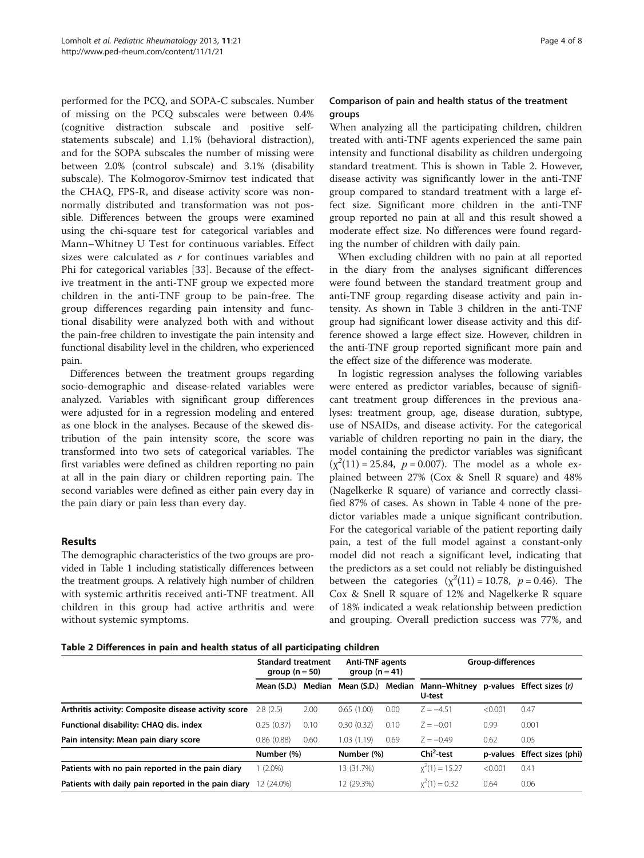performed for the PCQ, and SOPA-C subscales. Number of missing on the PCQ subscales were between 0.4% (cognitive distraction subscale and positive selfstatements subscale) and 1.1% (behavioral distraction), and for the SOPA subscales the number of missing were between 2.0% (control subscale) and 3.1% (disability subscale). The Kolmogorov-Smirnov test indicated that the CHAQ, FPS-R, and disease activity score was nonnormally distributed and transformation was not possible. Differences between the groups were examined using the chi-square test for categorical variables and Mann–Whitney U Test for continuous variables. Effect sizes were calculated as  $r$  for continues variables and Phi for categorical variables [\[33](#page-7-0)]. Because of the effective treatment in the anti-TNF group we expected more children in the anti-TNF group to be pain-free. The group differences regarding pain intensity and functional disability were analyzed both with and without the pain-free children to investigate the pain intensity and functional disability level in the children, who experienced pain.

Differences between the treatment groups regarding socio-demographic and disease-related variables were analyzed. Variables with significant group differences were adjusted for in a regression modeling and entered as one block in the analyses. Because of the skewed distribution of the pain intensity score, the score was transformed into two sets of categorical variables. The first variables were defined as children reporting no pain at all in the pain diary or children reporting pain. The second variables were defined as either pain every day in the pain diary or pain less than every day.

# Results

The demographic characteristics of the two groups are provided in Table [1](#page-1-0) including statistically differences between the treatment groups. A relatively high number of children with systemic arthritis received anti-TNF treatment. All children in this group had active arthritis and were without systemic symptoms.

# Comparison of pain and health status of the treatment groups

When analyzing all the participating children, children treated with anti-TNF agents experienced the same pain intensity and functional disability as children undergoing standard treatment. This is shown in Table 2. However, disease activity was significantly lower in the anti-TNF group compared to standard treatment with a large effect size. Significant more children in the anti-TNF group reported no pain at all and this result showed a moderate effect size. No differences were found regarding the number of children with daily pain.

When excluding children with no pain at all reported in the diary from the analyses significant differences were found between the standard treatment group and anti-TNF group regarding disease activity and pain intensity. As shown in Table [3](#page-4-0) children in the anti-TNF group had significant lower disease activity and this difference showed a large effect size. However, children in the anti-TNF group reported significant more pain and the effect size of the difference was moderate.

In logistic regression analyses the following variables were entered as predictor variables, because of significant treatment group differences in the previous analyses: treatment group, age, disease duration, subtype, use of NSAIDs, and disease activity. For the categorical variable of children reporting no pain in the diary, the model containing the predictor variables was significant  $(\chi^2(11) = 25.84, p = 0.007)$ . The model as a whole explained between 27% (Cox & Snell R square) and 48% (Nagelkerke R square) of variance and correctly classified 87% of cases. As shown in Table [4](#page-4-0) none of the predictor variables made a unique significant contribution. For the categorical variable of the patient reporting daily pain, a test of the full model against a constant-only model did not reach a significant level, indicating that the predictors as a set could not reliably be distinguished between the categories  $(\chi^2(11) = 10.78, p = 0.46)$ . The Cox & Snell R square of 12% and Nagelkerke R square of 18% indicated a weak relationship between prediction and grouping. Overall prediction success was 77%, and

| Table 2 Differences in pain and health status of all participating children |  |  |  |
|-----------------------------------------------------------------------------|--|--|--|
|-----------------------------------------------------------------------------|--|--|--|

|                                                      | <b>Standard treatment</b><br>group $(n = 50)$ |        | <b>Anti-TNF agents</b><br>group $(n = 41)$ |      |                                                  | <b>Group-differences</b> |                             |
|------------------------------------------------------|-----------------------------------------------|--------|--------------------------------------------|------|--------------------------------------------------|--------------------------|-----------------------------|
|                                                      | Mean (S.D.)                                   | Median | Mean (S.D.) Median                         |      | Mann-Whitney p-values Effect sizes (r)<br>U-test |                          |                             |
| Arthritis activity: Composite disease activity score | 2.8(2.5)                                      | 2.00   | 0.65(1.00)                                 | 0.00 | $7 = -4.51$                                      | < 0.001                  | 0.47                        |
| Functional disability: CHAQ dis. index               | 0.25(0.37)                                    | 0.10   | 0.30(0.32)                                 | 0.10 | $7 = -0.01$                                      | 0.99                     | 0.001                       |
| Pain intensity: Mean pain diary score                | 0.86(0.88)                                    | 0.60   | 1.03(1.19)                                 | 0.69 | $7 = -0.49$                                      | 0.62                     | 0.05                        |
|                                                      | Number (%)                                    |        | Number (%)                                 |      | Chi <sup>2</sup> -test                           |                          | p-values Effect sizes (phi) |
| Patients with no pain reported in the pain diary     | $(2.0\%)$                                     |        | 13 (31.7%)                                 |      | $x^2(1) = 15.27$                                 | < 0.001                  | 0.41                        |
| Patients with daily pain reported in the pain diary  | 12 (24.0%)                                    |        | 12 (29.3%)                                 |      | $x^2(1) = 0.32$                                  | 0.64                     | 0.06                        |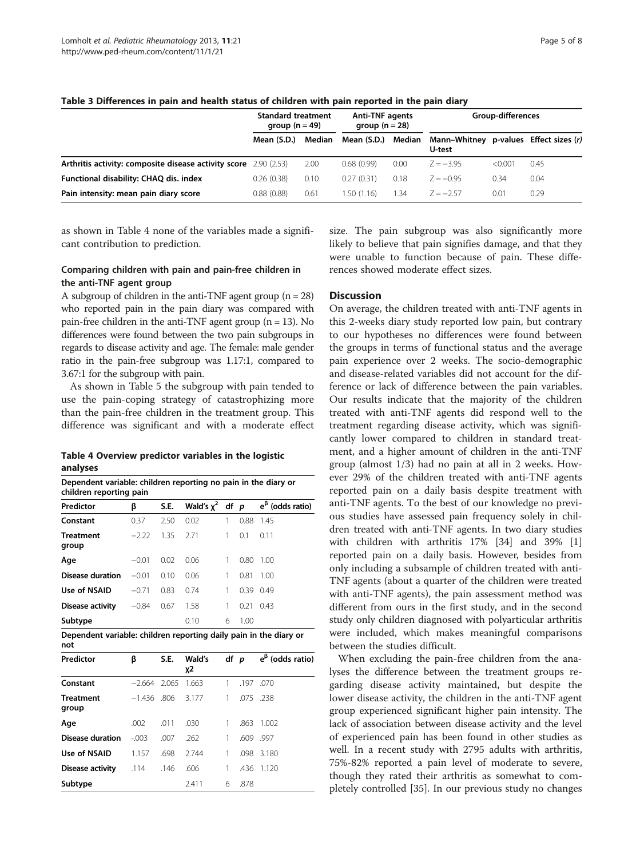|                                                                         | <b>Standard treatment</b><br>group $(n = 49)$ |        | <b>Anti-TNF agents</b><br>group $(n = 28)$ |        | Group-differences                                |         |      |
|-------------------------------------------------------------------------|-----------------------------------------------|--------|--------------------------------------------|--------|--------------------------------------------------|---------|------|
|                                                                         | Mean (S.D.)                                   | Median | Mean (S.D.)                                | Median | Mann-Whitney p-values Effect sizes (r)<br>U-test |         |      |
| <b>Arthritis activity: composite disease activity score</b> 2.90 (2.53) |                                               | 2.00   | 0.68(0.99)                                 | 0.00   | $7 = -3.95$                                      | < 0.001 | 0.45 |
| Functional disability: CHAQ dis. index                                  | 0.26(0.38)                                    | 0.10   | 0.27(0.31)                                 | 0.18   | $7 = -0.95$                                      | 0.34    | 0.04 |
| Pain intensity: mean pain diary score                                   | 0.88(0.88)                                    | 0.61   | 1.50 (1.16)                                | 1.34   | $7 = -2.57$                                      | 0.01    | 0.29 |

<span id="page-4-0"></span>Table 3 Differences in pain and health status of children with pain reported in the pain diary

as shown in Table 4 none of the variables made a significant contribution to prediction.

# Comparing children with pain and pain-free children in the anti-TNF agent group

A subgroup of children in the anti-TNF agent group  $(n = 28)$ who reported pain in the pain diary was compared with pain-free children in the anti-TNF agent group ( $n = 13$ ). No differences were found between the two pain subgroups in regards to disease activity and age. The female: male gender ratio in the pain-free subgroup was 1.17:1, compared to 3.67:1 for the subgroup with pain.

As shown in Table [5](#page-5-0) the subgroup with pain tended to use the pain-coping strategy of catastrophizing more than the pain-free children in the treatment group. This difference was significant and with a moderate effect

| Table 4 Overview predictor variables in the logistic |  |  |  |
|------------------------------------------------------|--|--|--|
| analyses                                             |  |  |  |

| Dependent variable: children reporting no pain in the diary or<br>children reporting pain |         |      |                      |   |      |                          |  |  |  |
|-------------------------------------------------------------------------------------------|---------|------|----------------------|---|------|--------------------------|--|--|--|
| Predictor                                                                                 | β       | S.E. | Wald's $\chi^2$ df p |   |      | $e^{\beta}$ (odds ratio) |  |  |  |
| Constant                                                                                  | 0.37    | 2.50 | 0.02                 |   | 0.88 | 1.45                     |  |  |  |
| <b>Treatment</b><br>group                                                                 | $-222$  | 1.35 | 271                  |   | 0.1  | 011                      |  |  |  |
| Age                                                                                       | $-0.01$ | 0.02 | 0.06                 |   | 0.80 | 1.00                     |  |  |  |
| Disease duration                                                                          | $-0.01$ | 0.10 | 0.06                 |   | 0.81 | 1.00                     |  |  |  |
| Use of NSAID                                                                              | $-0.71$ | 0.83 | 0.74                 |   | 0.39 | 0.49                     |  |  |  |
| Disease activity                                                                          | $-0.84$ | 0.67 | 1.58                 |   | 0.21 | 0.43                     |  |  |  |
| Subtype                                                                                   |         |      | 0.10                 | 6 | 1.00 |                          |  |  |  |

Dependent variable: children reporting daily pain in the diary or not

| Predictor                 | β        | S.E.  | Wald's<br>χ2 | $df$ $p$ |           | $e^{\beta}$ (odds ratio) |
|---------------------------|----------|-------|--------------|----------|-----------|--------------------------|
| Constant                  | $-2.664$ | 2.065 | 1.663        |          | .197      | .070                     |
| <b>Treatment</b><br>group | $-1.436$ | .806  | 3.177        | 1.       | .075 .238 |                          |
| Age                       | .002     | .011  | .030         |          | .863      | 1.002                    |
| <b>Disease duration</b>   | $-003$   | .007  | .262         |          | .609      | .997                     |
| Use of NSAID              | 1.157    | .698  | 2.744        |          | .098      | 3.180                    |
| Disease activity          | .114     | .146  | .606         |          | .436      | 1.120                    |
| Subtype                   |          |       | 2.411        | 6        | .878      |                          |

size. The pain subgroup was also significantly more likely to believe that pain signifies damage, and that they were unable to function because of pain. These differences showed moderate effect sizes.

# Discussion

On average, the children treated with anti-TNF agents in this 2-weeks diary study reported low pain, but contrary to our hypotheses no differences were found between the groups in terms of functional status and the average pain experience over 2 weeks. The socio-demographic and disease-related variables did not account for the difference or lack of difference between the pain variables. Our results indicate that the majority of the children treated with anti-TNF agents did respond well to the treatment regarding disease activity, which was significantly lower compared to children in standard treatment, and a higher amount of children in the anti-TNF group (almost 1/3) had no pain at all in 2 weeks. However 29% of the children treated with anti-TNF agents reported pain on a daily basis despite treatment with anti-TNF agents. To the best of our knowledge no previous studies have assessed pain frequency solely in children treated with anti-TNF agents. In two diary studies with children with arthritis 17% [\[34](#page-7-0)] and 39% [\[1](#page-6-0)] reported pain on a daily basis. However, besides from only including a subsample of children treated with anti-TNF agents (about a quarter of the children were treated with anti-TNF agents), the pain assessment method was different from ours in the first study, and in the second study only children diagnosed with polyarticular arthritis were included, which makes meaningful comparisons between the studies difficult.

When excluding the pain-free children from the analyses the difference between the treatment groups regarding disease activity maintained, but despite the lower disease activity, the children in the anti-TNF agent group experienced significant higher pain intensity. The lack of association between disease activity and the level of experienced pain has been found in other studies as well. In a recent study with 2795 adults with arthritis, 75%-82% reported a pain level of moderate to severe, though they rated their arthritis as somewhat to completely controlled [\[35](#page-7-0)]. In our previous study no changes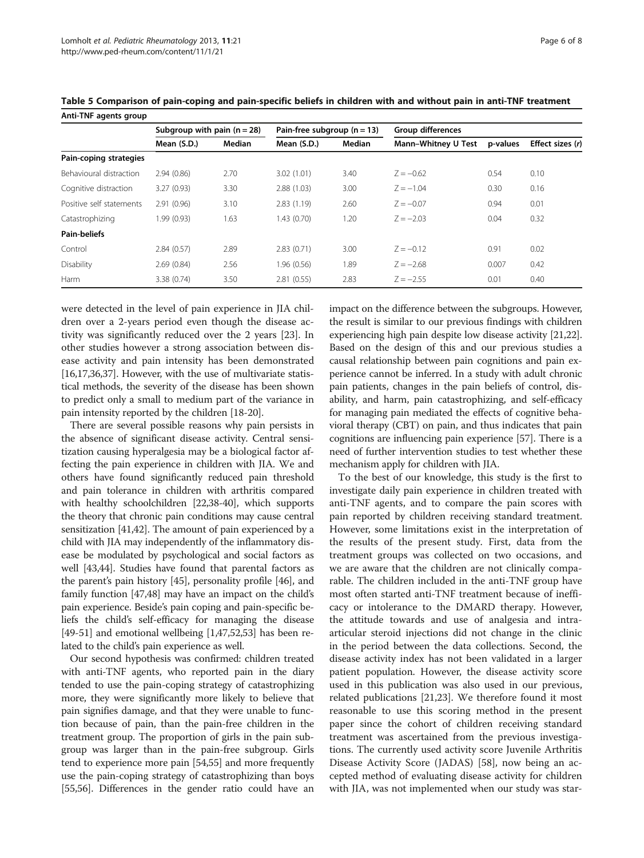| Anti-TNF agents group    |                               |        |                               |        |                          |          |                  |  |  |  |
|--------------------------|-------------------------------|--------|-------------------------------|--------|--------------------------|----------|------------------|--|--|--|
|                          | Subgroup with pain $(n = 28)$ |        | Pain-free subgroup $(n = 13)$ |        | <b>Group differences</b> |          |                  |  |  |  |
|                          | Mean (S.D.)                   | Median |                               | Median | Mann-Whitney U Test      | p-values | Effect sizes (r) |  |  |  |
| Pain-coping strategies   |                               |        |                               |        |                          |          |                  |  |  |  |
| Behavioural distraction  | 2.94(0.86)                    | 2.70   | 3.02(1.01)                    | 3.40   | $Z = -0.62$              | 0.54     | 0.10             |  |  |  |
| Cognitive distraction    | 3.27(0.93)                    | 3.30   | 2.88(1.03)                    | 3.00   | $Z = -1.04$              | 0.30     | 0.16             |  |  |  |
| Positive self statements | 2.91(0.96)                    | 3.10   | 2.83(1.19)                    | 2.60   | $Z = -0.07$              | 0.94     | 0.01             |  |  |  |
| Catastrophizing          | 1.99 (0.93)                   | 1.63   | 1.43(0.70)                    | 1.20   | $7 = -2.03$              | 0.04     | 0.32             |  |  |  |
| <b>Pain-beliefs</b>      |                               |        |                               |        |                          |          |                  |  |  |  |
| Control                  | 2.84(0.57)                    | 2.89   | 2.83(0.71)                    | 3.00   | $Z = -0.12$              | 0.91     | 0.02             |  |  |  |
| Disability               | 2.69(0.84)                    | 2.56   | 1.96(0.56)                    | 1.89   | $Z = -2.68$              | 0.007    | 0.42             |  |  |  |
| Harm                     | 3.38(0.74)                    | 3.50   | 2.81(0.55)                    | 2.83   | $7 = -2.55$              | 0.01     | 0.40             |  |  |  |

<span id="page-5-0"></span>Table 5 Comparison of pain-coping and pain-specific beliefs in children with and without pain in anti-TNF treatment

were detected in the level of pain experience in JIA children over a 2-years period even though the disease activity was significantly reduced over the 2 years [[23\]](#page-7-0). In other studies however a strong association between disease activity and pain intensity has been demonstrated [[16,17](#page-6-0)[,36,37](#page-7-0)]. However, with the use of multivariate statistical methods, the severity of the disease has been shown to predict only a small to medium part of the variance in pain intensity reported by the children [\[18-20\]](#page-6-0).

There are several possible reasons why pain persists in the absence of significant disease activity. Central sensitization causing hyperalgesia may be a biological factor affecting the pain experience in children with JIA. We and others have found significantly reduced pain threshold and pain tolerance in children with arthritis compared with healthy schoolchildren [\[22,](#page-6-0)[38-40\]](#page-7-0), which supports the theory that chronic pain conditions may cause central sensitization [\[41,42](#page-7-0)]. The amount of pain experienced by a child with JIA may independently of the inflammatory disease be modulated by psychological and social factors as well [\[43,44](#page-7-0)]. Studies have found that parental factors as the parent's pain history [[45](#page-7-0)], personality profile [[46](#page-7-0)], and family function [\[47,48](#page-7-0)] may have an impact on the child's pain experience. Beside's pain coping and pain-specific beliefs the child's self-efficacy for managing the disease [[49](#page-7-0)-[51\]](#page-7-0) and emotional wellbeing [\[1](#page-6-0)[,47,52,53](#page-7-0)] has been related to the child's pain experience as well.

Our second hypothesis was confirmed: children treated with anti-TNF agents, who reported pain in the diary tended to use the pain-coping strategy of catastrophizing more, they were significantly more likely to believe that pain signifies damage, and that they were unable to function because of pain, than the pain-free children in the treatment group. The proportion of girls in the pain subgroup was larger than in the pain-free subgroup. Girls tend to experience more pain [\[54,55](#page-7-0)] and more frequently use the pain-coping strategy of catastrophizing than boys [[55,56](#page-7-0)]. Differences in the gender ratio could have an

impact on the difference between the subgroups. However, the result is similar to our previous findings with children experiencing high pain despite low disease activity [\[21,22](#page-6-0)]. Based on the design of this and our previous studies a causal relationship between pain cognitions and pain experience cannot be inferred. In a study with adult chronic pain patients, changes in the pain beliefs of control, disability, and harm, pain catastrophizing, and self-efficacy for managing pain mediated the effects of cognitive behavioral therapy (CBT) on pain, and thus indicates that pain cognitions are influencing pain experience [[57](#page-7-0)]. There is a need of further intervention studies to test whether these mechanism apply for children with JIA.

To the best of our knowledge, this study is the first to investigate daily pain experience in children treated with anti-TNF agents, and to compare the pain scores with pain reported by children receiving standard treatment. However, some limitations exist in the interpretation of the results of the present study. First, data from the treatment groups was collected on two occasions, and we are aware that the children are not clinically comparable. The children included in the anti-TNF group have most often started anti-TNF treatment because of inefficacy or intolerance to the DMARD therapy. However, the attitude towards and use of analgesia and intraarticular steroid injections did not change in the clinic in the period between the data collections. Second, the disease activity index has not been validated in a larger patient population. However, the disease activity score used in this publication was also used in our previous, related publications [\[21](#page-6-0)[,23](#page-7-0)]. We therefore found it most reasonable to use this scoring method in the present paper since the cohort of children receiving standard treatment was ascertained from the previous investigations. The currently used activity score Juvenile Arthritis Disease Activity Score (JADAS) [\[58](#page-7-0)], now being an accepted method of evaluating disease activity for children with JIA, was not implemented when our study was star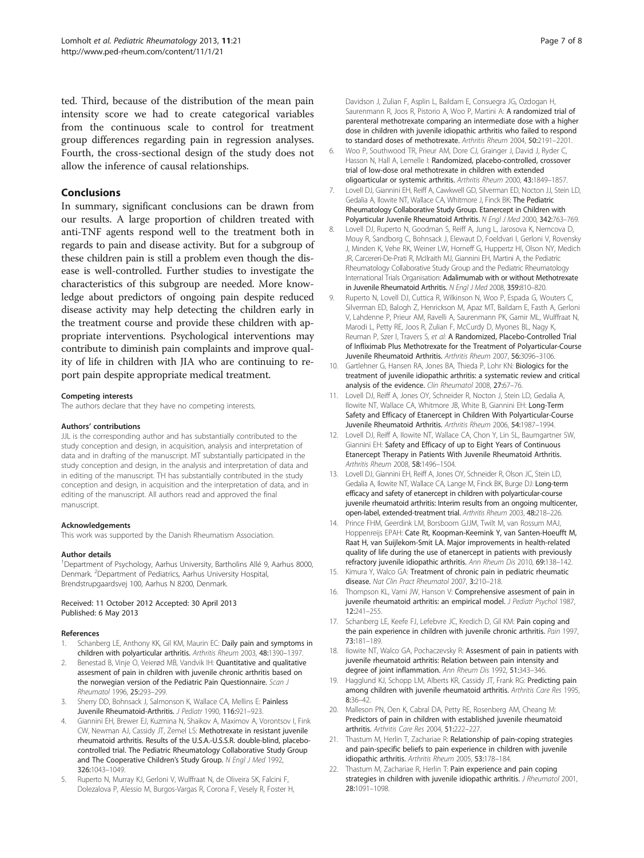<span id="page-6-0"></span>ted. Third, because of the distribution of the mean pain intensity score we had to create categorical variables from the continuous scale to control for treatment group differences regarding pain in regression analyses. Fourth, the cross-sectional design of the study does not allow the inference of causal relationships.

# Conclusions

In summary, significant conclusions can be drawn from our results. A large proportion of children treated with anti-TNF agents respond well to the treatment both in regards to pain and disease activity. But for a subgroup of these children pain is still a problem even though the disease is well-controlled. Further studies to investigate the characteristics of this subgroup are needed. More knowledge about predictors of ongoing pain despite reduced disease activity may help detecting the children early in the treatment course and provide these children with appropriate interventions. Psychological interventions may contribute to diminish pain complaints and improve quality of life in children with JIA who are continuing to report pain despite appropriate medical treatment.

#### Competing interests

The authors declare that they have no competing interests.

#### Authors' contributions

JJL is the corresponding author and has substantially contributed to the study conception and design, in acquisition, analysis and interpretation of data and in drafting of the manuscript. MT substantially participated in the study conception and design, in the analysis and interpretation of data and in editing of the manuscript. TH has substantially contributed in the study conception and design, in acquisition and the interpretation of data, and in editing of the manuscript. All authors read and approved the final manuscript.

#### Acknowledgements

This work was supported by the Danish Rheumatism Association.

#### Author details

<sup>1</sup>Department of Psychology, Aarhus University, Bartholins Allé 9, Aarhus 8000, Denmark. <sup>2</sup>Department of Pediatrics, Aarhus University Hospital, Brendstrupgaardsvej 100, Aarhus N 8200, Denmark.

#### Received: 11 October 2012 Accepted: 30 April 2013 Published: 6 May 2013

#### References

- 1. Schanberg LE, Anthony KK, Gil KM, Maurin EC: Daily pain and symptoms in children with polyarticular arthritis. Arthritis Rheum 2003, 48:1390–1397.
- Benestad B, Vinje O, Veierød MB, Vandvik IH: Quantitative and qualitative assesment of pain in children with juvenile chronic arthritis based on the norwegian version of the Pediatric Pain Questionnaire. Scan J Rheumatol 1996, 25:293–299.
- 3. Sherry DD, Bohnsack J, Salmonson K, Wallace CA, Mellins E: Painless Juvenile Rheumatoid-Arthritis. J Pediatr 1990, 116:921–923.
- 4. Giannini EH, Brewer EJ, Kuzmina N, Shaikov A, Maximov A, Vorontsov I, Fink CW, Newman AJ, Cassidy JT, Zemel LS: Methotrexate in resistant juvenile rheumatoid arthritis. Results of the U.S.A.-U.S.S.R. double-blind, placebocontrolled trial. The Pediatric Rheumatology Collaborative Study Group and The Cooperative Children's Study Group. N Engl J Med 1992, 326:1043–1049.
- 5. Ruperto N, Murray KJ, Gerloni V, Wulffraat N, de Oliveira SK, Falcini F, Dolezalova P, Alessio M, Burgos-Vargas R, Corona F, Vesely R, Foster H,

Davidson J, Zulian F, Asplin L, Baildam E, Consuegra JG, Ozdogan H, Saurenmann R, Joos R, Pistorio A, Woo P, Martini A: A randomized trial of parenteral methotrexate comparing an intermediate dose with a higher dose in children with juvenile idiopathic arthritis who failed to respond to standard doses of methotrexate. Arthritis Rheum 2004, 50:2191–2201.

- Woo P, Southwood TR, Prieur AM, Dore CJ, Grainger J, David J, Ryder C, Hasson N, Hall A, Lemelle I: Randomized, placebo-controlled, crossover trial of low-dose oral methotrexate in children with extended oligoarticular or systemic arthritis. Arthritis Rheum 2000, 43:1849–1857.
- 7. Lovell DJ, Giannini EH, Reiff A, Cawkwell GD, Silverman ED, Nocton JJ, Stein LD, Gedalia A, Ilowite NT, Wallace CA, Whitmore J, Finck BK: The Pediatric Rheumatology Collaborative Study Group. Etanercept in Children with Polyarticular Juvenile Rheumatoid Arthritis. N Engl J Med 2000, 342:763-769.
- Lovell DJ, Ruperto N, Goodman S, Reiff A, Jung L, Jarosova K, Nemcova D, Mouy R, Sandborg C, Bohnsack J, Elewaut D, Foeldvari I, Gerloni V, Rovensky J, Minden K, Vehe RK, Weiner LW, Horneff G, Huppertz HI, Olson NY, Medich JR, Carcereri-De-Prati R, McIlraith MJ, Giannini EH, Martini A, the Pediatric Rheumatology Collaborative Study Group and the Pediatric Rheumatology International Trials Organisation: Adalimumab with or without Methotrexate in Juvenile Rheumatoid Arthritis. N Engl J Med 2008, 359:810–820.
- 9. Ruperto N, Lovell DJ, Cuttica R, Wilkinson N, Woo P, Espada G, Wouters C, Silverman ED, Balogh Z, Henrickson M, Apaz MT, Baildam E, Fasth A, Gerloni V, Lahdenne P, Prieur AM, Ravelli A, Saurenmann PK, Gamir ML, Wulffraat N, Marodi L, Petty RE, Joos R, Zulian F, McCurdy D, Myones BL, Nagy K, Reuman P, Szer I, Travers S, et al: A Randomized, Placebo-Controlled Trial of Infliximab Plus Methotrexate for the Treatment of Polyarticular-Course Juvenile Rheumatoid Arthritis. Arthritis Rheum 2007, 56:3096–3106.
- 10. Gartlehner G, Hansen RA, Jones BA, Thieda P, Lohr KN: Biologics for the treatment of juvenile idiopathic arthritis: a systematic review and critical analysis of the evidence. Clin Rheumatol 2008, 27:67–76.
- 11. Lovell DJ, Reiff A, Jones OY, Schneider R, Nocton J, Stein LD, Gedalia A, Ilowite NT, Wallace CA, Whitmore JB, White B, Giannini EH: Long-Term Safety and Efficacy of Etanercept in Children With Polyarticular-Course Juvenile Rheumatoid Arthritis. Arthritis Rheum 2006, 54:1987–1994.
- 12. Lovell DJ, Reiff A, Ilowite NT, Wallace CA, Chon Y, Lin SL, Baumgartner SW, Giannini EH: Safety and Efficacy of up to Eight Years of Continuous Etanercept Therapy in Patients With Juvenile Rheumatoid Arthritis. Arthritis Rheum 2008, 58:1496–1504.
- 13. Lovell DJ, Giannini EH, Reiff A, Jones OY, Schneider R, Olson JC, Stein LD, Gedalia A, Ilowite NT, Wallace CA, Lange M, Finck BK, Burge DJ: Long-term efficacy and safety of etanercept in children with polyarticular-course juvenile rheumatoid arthritis: Interim results from an ongoing multicenter, open-label, extended-treatment trial. Arthritis Rheum 2003, 48:218–226.
- 14. Prince FHM, Geerdink LM, Borsboom GJJM, Twilt M, van Rossum MAJ, Hoppenreijs EPAH: Cate Rt, Koopman-Keemink Y, van Santen-Hoeufft M, Raat H, van Suijlekom-Smit LA. Major improvements in health-related quality of life during the use of etanercept in patients with previously refractory juvenile idiopathic arthritis. Ann Rheum Dis 2010, 69:138–142.
- 15. Kimura Y, Walco GA: Treatment of chronic pain in pediatric rheumatic disease. Nat Clin Pract Rheumatol 2007, 3:210–218.
- 16. Thompson KL, Varni JW, Hanson V: Comprehensive assesment of pain in juvenile rheumatoid arthritis: an empirical model. J Pediatr Psychol 1987, 12:241–255.
- 17. Schanberg LE, Keefe FJ, Lefebvre JC, Kredich D, Gil KM: Pain coping and the pain experience in children with juvenile chronic arthritis. Pain 1997, 73:181–189.
- 18. Ilowite NT, Walco GA, Pochaczevsky R: Assesment of pain in patients with juvenile rheumatoid arthritis: Relation between pain intensity and degree of joint inflammation. Ann Rheum Dis 1992, 51:343–346.
- 19. Hagglund KJ, Schopp LM, Alberts KR, Cassidy JT, Frank RG: Predicting pain among children with juvenile rheumatoid arthritis. Arthritis Care Res 1995, 8:36–42.
- 20. Malleson PN, Oen K, Cabral DA, Petty RE, Rosenberg AM, Cheang M: Predictors of pain in children with established juvenile rheumatoid arthritis. Arthritis Care Res 2004, 51:222–227.
- 21. Thastum M, Herlin T, Zachariae R: Relationship of pain-coping strategies and pain-specific beliefs to pain experience in children with juvenile idiopathic arthritis. Arthritis Rheum 2005, 53:178–184.
- 22. Thastum M, Zachariae R, Herlin T: Pain experience and pain coping strategies in children with juvenile idiopathic arthritis. J Rheumatol 2001, 28:1091–1098.